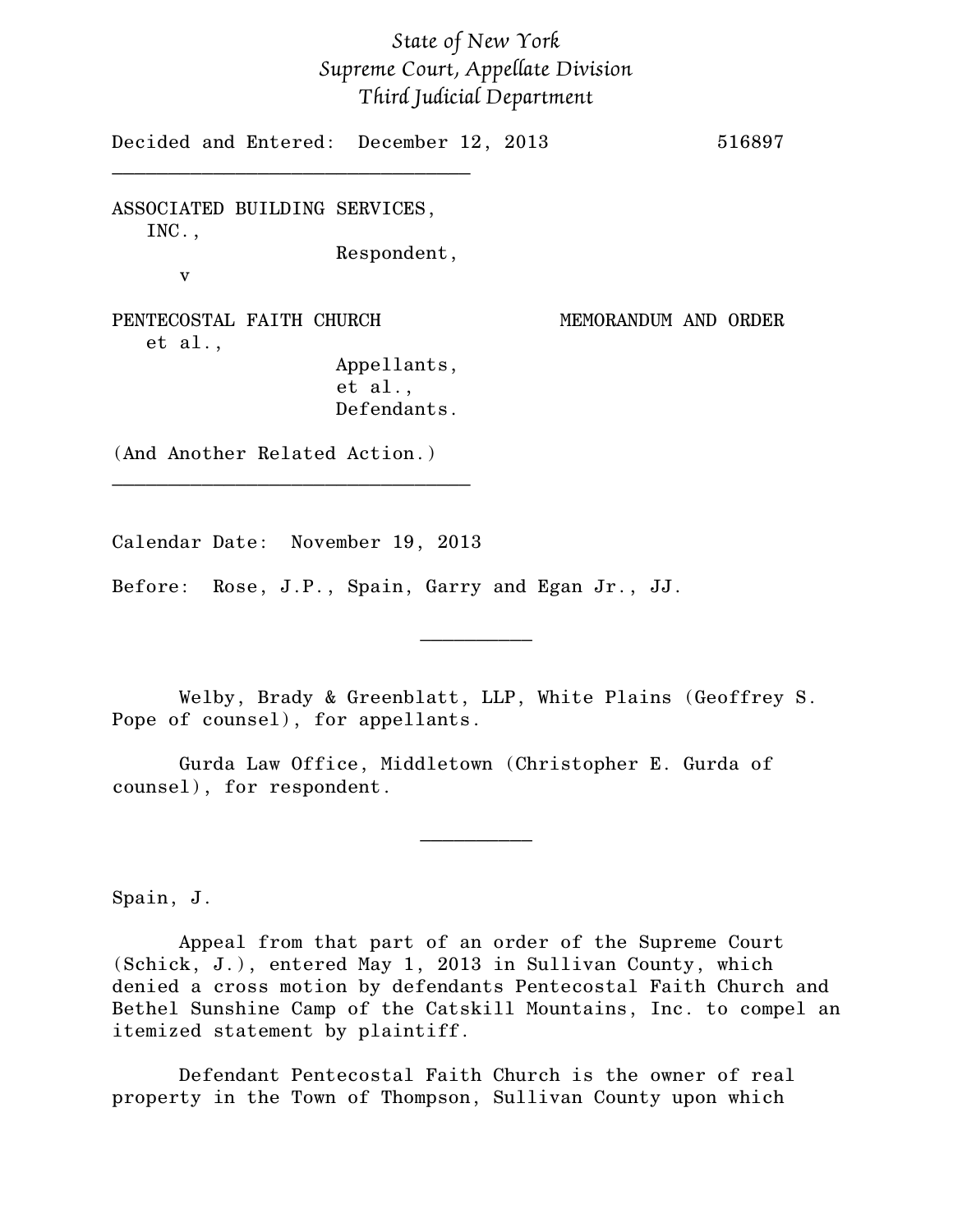## *State of New York Supreme Court, Appellate Division Third Judicial Department*

Decided and Entered: December 12, 2013 516897 \_\_\_\_\_\_\_\_\_\_\_\_\_\_\_\_\_\_\_\_\_\_\_\_\_\_\_\_\_\_\_\_

ASSOCIATED BUILDING SERVICES, INC.,

Respondent,

PENTECOSTAL FAITH CHURCH MEMORANDUM AND ORDER et al.,

v

Appellants, et al., Defendants.

(And Another Related Action.)

Calendar Date: November 19, 2013

\_\_\_\_\_\_\_\_\_\_\_\_\_\_\_\_\_\_\_\_\_\_\_\_\_\_\_\_\_\_\_\_

Before: Rose, J.P., Spain, Garry and Egan Jr., JJ.

Welby, Brady & Greenblatt, LLP, White Plains (Geoffrey S. Pope of counsel), for appellants.

 $\frac{1}{2}$ 

Gurda Law Office, Middletown (Christopher E. Gurda of counsel), for respondent.

Spain, J.

Appeal from that part of an order of the Supreme Court (Schick, J.), entered May 1, 2013 in Sullivan County, which denied a cross motion by defendants Pentecostal Faith Church and Bethel Sunshine Camp of the Catskill Mountains, Inc. to compel an itemized statement by plaintiff.

 $\frac{1}{2}$ 

Defendant Pentecostal Faith Church is the owner of real property in the Town of Thompson, Sullivan County upon which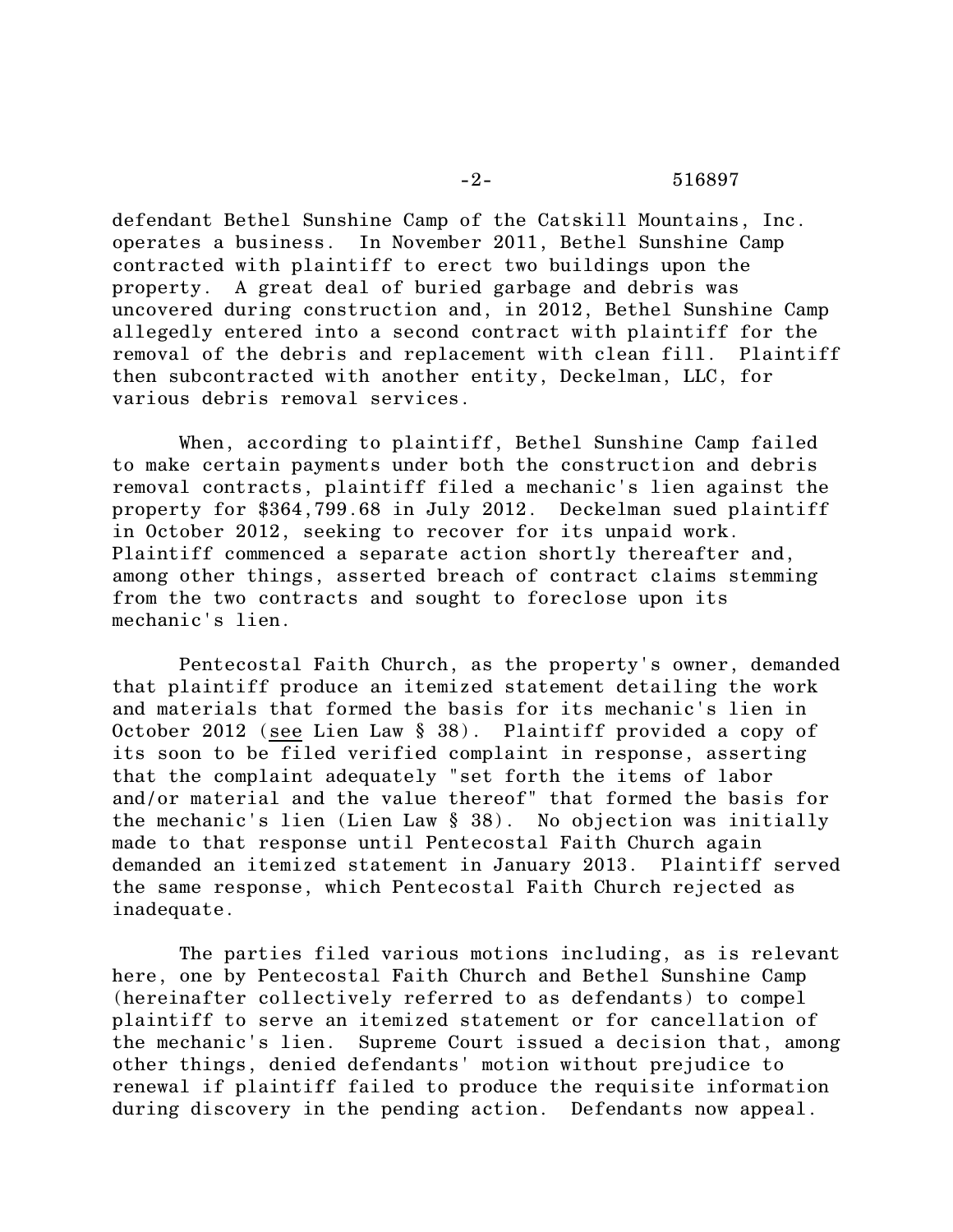defendant Bethel Sunshine Camp of the Catskill Mountains, Inc. operates a business. In November 2011, Bethel Sunshine Camp contracted with plaintiff to erect two buildings upon the property. A great deal of buried garbage and debris was uncovered during construction and, in 2012, Bethel Sunshine Camp allegedly entered into a second contract with plaintiff for the removal of the debris and replacement with clean fill. Plaintiff then subcontracted with another entity, Deckelman, LLC, for various debris removal services.

When, according to plaintiff, Bethel Sunshine Camp failed to make certain payments under both the construction and debris removal contracts, plaintiff filed a mechanic's lien against the property for \$364,799.68 in July 2012. Deckelman sued plaintiff in October 2012, seeking to recover for its unpaid work. Plaintiff commenced a separate action shortly thereafter and, among other things, asserted breach of contract claims stemming from the two contracts and sought to foreclose upon its mechanic's lien.

Pentecostal Faith Church, as the property's owner, demanded that plaintiff produce an itemized statement detailing the work and materials that formed the basis for its mechanic's lien in October 2012 (see Lien Law § 38). Plaintiff provided a copy of its soon to be filed verified complaint in response, asserting that the complaint adequately "set forth the items of labor and/or material and the value thereof" that formed the basis for the mechanic's lien (Lien Law § 38). No objection was initially made to that response until Pentecostal Faith Church again demanded an itemized statement in January 2013. Plaintiff served the same response, which Pentecostal Faith Church rejected as inadequate.

The parties filed various motions including, as is relevant here, one by Pentecostal Faith Church and Bethel Sunshine Camp (hereinafter collectively referred to as defendants) to compel plaintiff to serve an itemized statement or for cancellation of the mechanic's lien. Supreme Court issued a decision that, among other things, denied defendants' motion without prejudice to renewal if plaintiff failed to produce the requisite information during discovery in the pending action. Defendants now appeal.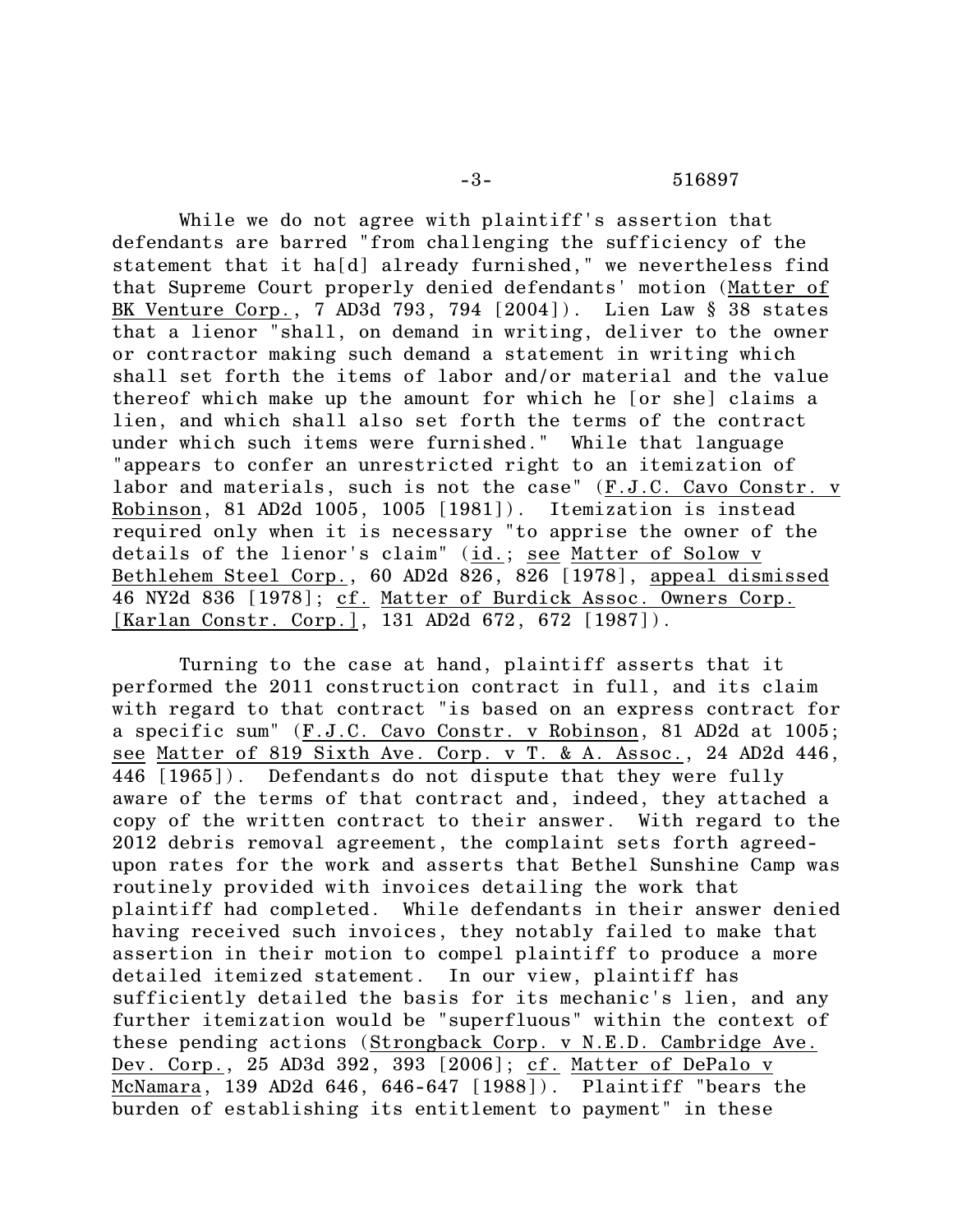While we do not agree with plaintiff's assertion that defendants are barred "from challenging the sufficiency of the statement that it ha[d] already furnished," we nevertheless find that Supreme Court properly denied defendants' motion (Matter of BK Venture Corp., 7 AD3d 793, 794 [2004]). Lien Law § 38 states that a lienor "shall, on demand in writing, deliver to the owner or contractor making such demand a statement in writing which shall set forth the items of labor and/or material and the value thereof which make up the amount for which he [or she] claims a lien, and which shall also set forth the terms of the contract under which such items were furnished." While that language "appears to confer an unrestricted right to an itemization of labor and materials, such is not the case" (F.J.C. Cavo Constr. v Robinson, 81 AD2d 1005, 1005 [1981]). Itemization is instead required only when it is necessary "to apprise the owner of the details of the lienor's claim" (id.; see Matter of Solow v Bethlehem Steel Corp., 60 AD2d 826, 826 [1978], appeal dismissed 46 NY2d 836 [1978]; cf. Matter of Burdick Assoc. Owners Corp. [Karlan Constr. Corp.], 131 AD2d 672, 672 [1987]).

Turning to the case at hand, plaintiff asserts that it performed the 2011 construction contract in full, and its claim with regard to that contract "is based on an express contract for a specific sum" (F.J.C. Cavo Constr. v Robinson, 81 AD2d at 1005; see Matter of 819 Sixth Ave. Corp. v T. & A. Assoc., 24 AD2d 446, 446 [1965]). Defendants do not dispute that they were fully aware of the terms of that contract and, indeed, they attached a copy of the written contract to their answer. With regard to the 2012 debris removal agreement, the complaint sets forth agreedupon rates for the work and asserts that Bethel Sunshine Camp was routinely provided with invoices detailing the work that plaintiff had completed. While defendants in their answer denied having received such invoices, they notably failed to make that assertion in their motion to compel plaintiff to produce a more detailed itemized statement. In our view, plaintiff has sufficiently detailed the basis for its mechanic's lien, and any further itemization would be "superfluous" within the context of these pending actions (Strongback Corp. v N.E.D. Cambridge Ave. Dev. Corp., 25 AD3d 392, 393 [2006]; cf. Matter of DePalo v McNamara, 139 AD2d 646, 646-647 [1988]). Plaintiff "bears the burden of establishing its entitlement to payment" in these